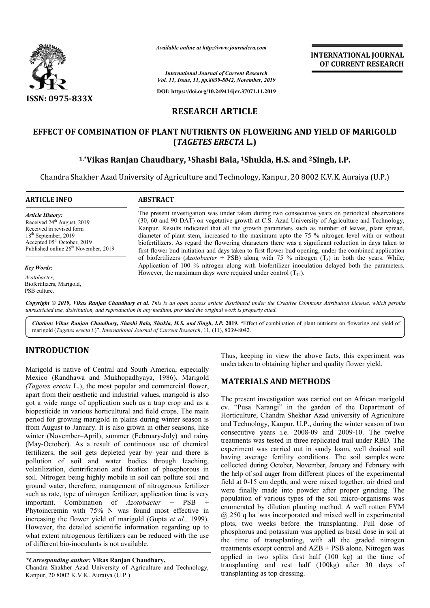

*Available online at http://www.journalcra.com*

**INTERNATIONAL JOURNAL OF CURRENT RESEARCH**

*International Journal of Current Research Vol. 11, Issue, 11, pp.8039-8042, November, 2019*

**DOI: https://doi.org/10.24941/ijcr.37071.11.2019**

# **RESEARCH ARTICLE**

# **EFFECT OF COMBINATION OF PLANT NUTRIENTS ON FLOWERING AND YIELD OF MARIGOLD**  COMBINATION OF PLANT NUTRIENTS ON FLOWERING AND YIELD OF<br>TAGETES ERECTA L.)<br><sup>1,</sup>\*Vikas Ranjan Chaudhary, <sup>1</sup>Shashi Bala, <sup>1</sup>Shukla, H.S. and <sup>2</sup>Singh, I.P. **(***TAGETES ERECTA* **L.)**

Chandra Shakher Azad University of Agriculture and Technology, Kanpur, 20 8002 K.V.K. Auraiya (U.P.)

| <b>ARTICLE INFO</b>                                                                                                                                                                                                    | <b>ABSTRACT</b>                                                                                                                                                                                                                                                                                                                                                                                                                                                                                                                                                                                                              |
|------------------------------------------------------------------------------------------------------------------------------------------------------------------------------------------------------------------------|------------------------------------------------------------------------------------------------------------------------------------------------------------------------------------------------------------------------------------------------------------------------------------------------------------------------------------------------------------------------------------------------------------------------------------------------------------------------------------------------------------------------------------------------------------------------------------------------------------------------------|
| <b>Article History:</b><br>Received 24 <sup>th</sup> August, 2019<br>Received in revised form<br>$18th$ September, 2019<br>Accepted 05 <sup>th</sup> October, 2019<br>Published online 26 <sup>th</sup> November, 2019 | The present investigation was under taken during two consecutive years on periodical observations<br>(30, 60 and 90 DAT) on vegetative growth at C.S. Azad University of Agriculture and Technology,<br>Kanpur. Results indicated that all the growth parameters such as number of leaves, plant spread,<br>diameter of plant stem, increased to the maximum upto the 75 % nitrogen level with or without<br>biofertilizers. As regard the flowering characters there was a significant reduction in days taken to<br>first flower bud initiation and days taken to first flower bud opening, under the combined application |
| <b>Key Words:</b><br>Azotobacter,<br>Biofertilizers, Marigold,<br>PSB culture.                                                                                                                                         | of biofertilizers (Azotobacter + PSB) along with 75 % nitrogen $(T_8)$ in both the years. While,<br>Application of 100 % nitrogen along with biofertilizer inoculation delayed both the parameters.<br>However, the maximum days were required under control $(T_{14})$ .                                                                                                                                                                                                                                                                                                                                                    |

Copyright © 2019, Vikas Ranjan Chaudhary et al. This is an open access article distributed under the Creative Commons Attribution License, which permits *unrestricted use, distribution, and reproduction in any medium, provided the original work is properly cited.*

Citation: Vikas Ranjan Chaudhary, Shashi Bala, Shukla, H.S. and Singh, I.P. 2019. "Effect of combination of plant nutrients on flowering and yield of marigold (*Tagetes erecta l*.)", *International Journal of Current Research* , 11, (11), 8039-8042.

# **INTRODUCTION**

Marigold is native of Central and South America, especially Marigold is native of Central and South America, especially<br>Mexico (Randhawa and Mukhopadhyaya, 1986). Marigold *(Tagetes erecta* L.), the most popular and commercial flower, apart from their aesthetic and industrial values, marigold is also got a wide range of application such as a trap crop and as a biopesticide in various horticultural and field crops. The main period for growing marigold in plains during winter season is from August to January. It is also grown in other seasons, like winter (November–April), summer (February-July) and rainy (May-October). As a result of continuous use of chemical fertilizers, the soil gets depleted year by year and there is pollution of soil and water bodies through leaching, volatilization, dentrification and fixation of phosphorous in soil. Nitrogen being highly mobile in soil can pollute soil and ground water, therefore, management of nitrogenous fertilizer such as rate, type of nitrogen fertilizer, application time is very important. Combination of *Azotobacter* + PSB + Phytoincremin with 75% N was found most effective in increasing the flower yield of marigold (Gupta *et al.,* 1999). However, the detailed scientific information regarding up to what extent nitrogenous fertilizers can be reduced with the use of different bio-inoculants is not available. part from their aesthetic and industrial values, marigold is also<br>ot a wide range of application such as a trap crop and as a<br>iopesticide in various horticultural and field crops. The main ontinuous use of chemical<br>year by year and there is<br>bodies through leaching,<br>fixation of phosphorous in<br>in soil can pollute soil and

Chandra Shakher Azad University of Agriculture and Technology, Kanpur, 20 8002 K.V.K. Auraiya (U.P.)

Thus, keeping in view the above facts, this experiment was undertaken to obtaining higher and quality flower yield.

# **MATERIALS AND METHODS METHODS**

The present investigation was carried out on African marigold cv. "Pusa Narangi" in the garden of the Department of Horticulture, Chandra Shekhar Azad university of Agriculture and Technology, Kanpur, U.P., during the winter season of two consecutive years i.e. 2008-09 and 2009-10. The twelve treatments was tested in three replicated trail under RBD. The experiment was carried out in sandy loam, well drained soil experiment was carried out in sandy loam, well drained soil having average fertility conditions. The soil samples were collected during October, November, January and February with the help of soil auger from different places of the experimental field at 0-15 cm depth, and were mixed together, air dried and field at 0-15 cm depth, and were mixed together, air dried and were finally made into powder after proper grinding. The population of various types of the soil micro-organisms was enumerated by dilution planting method. A well rotten FYM @ 250 q ha<sup>-1</sup> was incorporated and mixed well in experimental plots, two weeks before the transplanting. Full dose of phosphorus and potassium was applied as basal dose in soil at the time of transplanting, with all the graded nitrogen treatments except control and AZB + PSB alone. Nitrogen was applied in two splits first half (100 kg) at the time of transplanting and rest half (100kg) after 30 days of transplanting as top dressing. The present investigation was carried out on African marigold cv. "Pusa Narangi" in the garden of the Department of Horticulture, Chandra Shekhar Azad university of Agriculture and Technology, Kanpur, U.P., during the wint **INTERNATE CONDURATE (CONDURATE CONDURATE CONDURATE CONDURATE CONDURATE CONDURATE CONDUPATE CONDUPATE CONDUPATE CONDUPATE CONDUPATE CONDUPATE CONDUPATE CONDUPATE CONDUPATE CONDUPATE CONDUPATE CONDUPATE CONDUPATE CONDUPATE** 

*<sup>\*</sup>Corresponding author:* **Vikas Ranjan Chaudhary,**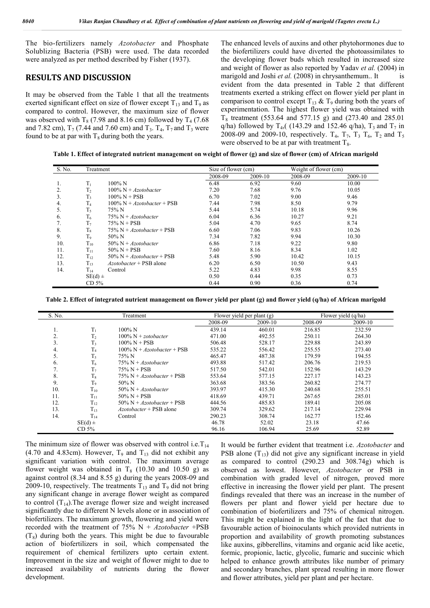The bio-fertilizers namely *Azotobacter* and Phosphate Solublizing Bacteria (PSB) were used. The data recorded were analyzed as per method described by Fisher (1937).

#### **RESULTS AND DISCUSSION**

It may be observed from the Table 1 that all the treatments exerted significant effect on size of flower except  $T_{13}$  and  $T_9$  as compared to control. However, the maximum size of flower was observed with  $T_8$  (7.98 and 8.16 cm) followed by  $T_4$  (7.68) and 7.82 cm),  $T_7$  (7.44 and 7.60 cm) and  $T_3$ .  $T_4$ ,  $T_7$  and  $T_3$  were found to be at par with  $T_8$  during both the years.

The enhanced levels of auxins and other phytohormones due to the biofertilizers could have diverted the photoassimilates to the developing flower buds which resulted in increased size and weight of flower as also reported by Yadav *et al.* (2004) in marigold and Joshi *et al.* (2008) in chrysanthemum.. It is evident from the data presented in Table 2 that different treatments exerted a striking effect on flower yield per plant in comparison to control except  $T_{13}$  &  $T_9$  during both the years of experimentation. The highest flower yield was obtained with  $T_8$  treatment (553.64 and 577.15 g) and (273.40 and 285.01 q/ha) followed by T<sub>4</sub>,( (143.29 and 152.46 q/ha), T<sub>3</sub> and T<sub>7</sub> in 2008-09 and 2009-10, respectively.  $T_4$ ,  $T_7$ ,  $T_3$ ,  $T_6$ ,  $T_2$  and  $T_5$ were observed to be at par with treatment  $T_8$ .

**Table 1. Effect of integrated nutrient management on weight of flower (g) and size of flower (cm) of African marigold**

| S. No. | Treatment        |                                      | Size of flower (cm) |         |         | Weight of flower (cm) |  |
|--------|------------------|--------------------------------------|---------------------|---------|---------|-----------------------|--|
|        |                  |                                      | 2008-09             | 2009-10 | 2008-09 | 2009-10               |  |
| 1.     | $T_1$            | $100\%$ N                            | 6.48                | 6.92    | 9.60    | 10.00                 |  |
| 2.     | T <sub>2</sub>   | $100\%$ N + <i>Azotobacter</i>       | 7.20                | 7.68    | 9.76    | 10.05                 |  |
| 3.     | $T_3$            | $100\% N + PSB$                      | 6.70                | 7.02    | 9.00    | 9.46                  |  |
| 4.     | T <sub>4</sub>   | $100\%$ N + <i>Azotobacter</i> + PSB | 7.44                | 7.98    | 8.50    | 9.79                  |  |
| 5.     | $T_5$            | 75% N                                | 5.44                | 5.74    | 10.18   | 9.96                  |  |
| 6.     | $T_6$            | $75\% N + Azotobacter$               | 6.04                | 6.36    | 10.27   | 9.21                  |  |
| 7.     | T <sub>7</sub>   | $75\% N + PSB$                       | 5.04                | 4.70    | 9.65    | 8.74                  |  |
| 8.     | $T_8$            | $75\% N + Azotobacter + PSB$         | 6.60                | 7.06    | 9.83    | 10.26                 |  |
| 9.     | T <sub>o</sub>   | $50\%$ N                             | 7.34                | 7.82    | 9.94    | 10.30                 |  |
| 10.    | $T_{10}$         | $50\%$ N + <i>Azotobacter</i>        | 6.86                | 7.18    | 9.22    | 9.80                  |  |
| 11.    | $T_{11}$         | $50\%$ N + PSB                       | 7.60                | 8.16    | 8.34    | 1.02                  |  |
| 12.    | $T_{12}$         | $50\%$ N + <i>Azotobacter</i> + PSB  | 5.48                | 5.90    | 10.42   | 10.15                 |  |
| 13.    | $T_{13}$         | $Azotobacter + PSB$ alone            | 6.20                | 6.50    | 10.50   | 9.43                  |  |
| 14.    | $T_{14}$         | Control                              | 5.22                | 4.83    | 9.98    | 8.55                  |  |
|        | $SE(d)$ ±        |                                      | 0.50                | 0.44    | 0.35    | 0.73                  |  |
|        | CD <sub>5%</sub> |                                      | 0.44                | 0.90    | 0.36    | 0.74                  |  |

**Table 2. Effect of integrated nutrient management on flower yield per plant (g) and flower yield (q/ha) of African marigold**

| S. No. |                  | Treatment                            |         | Flower yield per plant (g) | Flower yield (q/ha) |         |  |
|--------|------------------|--------------------------------------|---------|----------------------------|---------------------|---------|--|
|        |                  |                                      | 2008-09 | 2009-10                    | 2008-09             | 2009-10 |  |
| 1.     | $T_1$            | $100\%$ N                            | 439.14  | 460.01                     | 216.85              | 232.59  |  |
| 2.     | T <sub>2</sub>   | $100\%$ N + <i>zotobacter</i>        | 471.00  | 492.55                     | 250.11              | 264.30  |  |
| 3.     | T <sub>3</sub>   | $100\% N + PSB$                      | 506.48  | 528.17                     | 229.88              | 243.89  |  |
| 4.     | T <sub>4</sub>   | $100\%$ N + <i>Azotobacter</i> + PSB | 535.22  | 556.42                     | 255.55              | 273.40  |  |
| 5.     | $T_5$            | 75% N                                | 465.47  | 487.38                     | 179.59              | 194.55  |  |
| 6.     | $T_6$            | $75\% N + Azotobacter$               | 493.88  | 517.42                     | 206.76              | 219.53  |  |
|        | T <sub>7</sub>   | $75\% N + PSB$                       | 517.50  | 542.01                     | 152.96              | 143.29  |  |
| 8.     | T <sub>s</sub>   | $75\% N + Azotobacter + PSB$         | 553.64  | 577.15                     | 227.17              | 143.23  |  |
| 9.     | T <sub>9</sub>   | 50% N                                | 363.68  | 383.56                     | 260.82              | 274.77  |  |
| 10.    | $T_{10}$         | $50\%$ N + <i>Azotobacter</i>        | 393.97  | 415.30                     | 240.68              | 255.51  |  |
| 11.    | $T_{11}$         | $50\%$ N + PSB                       | 418.69  | 439.71                     | 267.65              | 285.01  |  |
| 12.    | $T_{12}$         | $50\%$ N + <i>Azotobacter</i> + PSB  | 444.56  | 485.83                     | 189.41              | 205.08  |  |
| 13.    | $T_{13}$         | <i>Azotobacter</i> + PSB alone       | 309.74  | 329.62                     | 217.14              | 229.94  |  |
| 14.    | $T_{14}$         | Control                              | 290.23  | 308.74                     | 162.77              | 152.46  |  |
|        | $SE(d) \pm$      |                                      | 46.78   | 52.02                      | 23.18               | 47.66   |  |
|        | CD <sub>5%</sub> |                                      | 96.16   | 106.94                     | 25.69               | 52.89   |  |

The minimum size of flower was observed with control i.e.  $T_{14}$ (4.70 and 4.83cm). However,  $T_9$  and  $T_{13}$  did not exhibit any significant variation with control. The maximum average flower weight was obtained in  $T_8$  (10.30 and 10.50 g) as against control (8.34 and 8.55 g) during the years 2008-09 and 2009-10, respectively. The treatments  $T_{13}$  and  $T_9$  did not bring any significant change in average flower weight as compared to control  $(T_{14})$ . The average flower size and weight increased significantly due to different N levels alone or in association of biofertilizers. The maximum growth, flowering and yield were recorded with the treatment of 75% N + *Azotobacter* +PSB  $(T_8)$  during both the years. This might be due to favourable action of biofertilizers in soil, which compensated the requirement of chemical fertilizers upto certain extent. Improvement in the size and weight of flower might to due to increased availability of nutrients during the flower development.

It would be further evident that treatment i.e. *Azotobacter* and PSB alone  $(T_{13})$  did not give any significant increase in yield as compared to control (290.23 and 308.74g) which is observed as lowest. However, *Azotobacter* or PSB in combination with graded level of nitrogen, proved more effective in increasing the flower yield per plant. The present findings revealed that there was an increase in the number of flowers per plant and flower yield per hectare due to combination of biofertilizers and 75% of chemical nitrogen. This might be explained in the light of the fact that due to favourable action of bioinoculants which provided nutrients in proportion and availability of growth promoting substances like auxins, gibberellins, vitamins and organic acid like acetic, formic, propionic, lactic, glycolic, fumaric and succinic which helped to enhance growth attributes like number of primary and secondary branches, plant spread resulting in more flower and flower attributes, yield per plant and per hectare.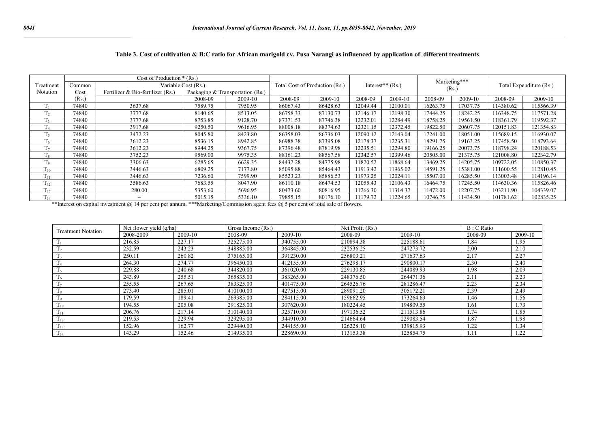|                | Cost of Production $*(Rs.)$ |                                   |                     |                                  |          |                                |                                |          |              |          |                         |           |
|----------------|-----------------------------|-----------------------------------|---------------------|----------------------------------|----------|--------------------------------|--------------------------------|----------|--------------|----------|-------------------------|-----------|
| Treatment      | Common                      |                                   | Variable Cost (Rs.) |                                  |          | Total Cost of Production (Rs.) | Interest <sup>**</sup> $(Rs.)$ |          | Marketing*** |          | Total Expenditure (Rs.) |           |
| Notation       | Cost                        | Fertilizer & Bio-fertilizer (Rs.) |                     | Packaging & Transportation (Rs.) |          |                                |                                |          | (Rs)         |          |                         |           |
|                | (Rs.)                       |                                   | 2008-09             | 2009-10                          | 2008-09  | 2009-10                        | 2008-09                        | 2009-10  | 2008-09      | 2009-10  | 2008-09                 | 2009-10   |
| Tı             | 74840                       | 3637.68                           | 7589.75             | 7950.95                          | 86067.43 | 86428.63                       | 12049.44                       | 12100.01 | 16263.75     | 17037.75 | 14380.62                | 115566.39 |
| T <sub>2</sub> | 74840                       | 3777.68                           | 8140.65             | 8513.05                          | 86758.33 | 87130.73                       | 12146.17                       | 12198.30 | 17444.25     | 18242.25 | 116348.75               | 117571.28 |
| T <sub>3</sub> | 74840                       | 3777.68                           | 8753.85             | 9128.70                          | 87371.53 | 87746.38                       | 12232.01                       | 12284.49 | 18758.25     | 19561.50 | 118361.79               | 119592.37 |
| T <sub>4</sub> | 74840                       | 3917.68                           | 9250.50             | 9616.95                          | 88008.18 | 88374.63                       | 12321.15                       | 12372.45 | 19822.50     | 20607.75 | 120151.83               | 121354.83 |
| $T_{\rm s}$    | 74840                       | 3472.23                           | 8045.80             | 8423.80                          | 86358.03 | 86736.03                       | 12090.12                       | 12143.04 | 17241.00     | 18051.00 | 115689.15               | 116930.07 |
| $T_6$          | 74840                       | 3612.23                           | 8536.15             | 8942.85                          | 86988.38 | 87395.08                       | 12178.37                       | 12235.31 | 18291.75     | 19163.25 | 117458.50               | 118793.64 |
| T <sub>7</sub> | 74840                       | 3612.23                           | 8944.25             | 9367.75                          | 87396.48 | 87819.98                       | 12235.51                       | 12294.80 | 19166.25     | 20073.75 | 118798.24               | 120188.53 |
| $T_8$          | 74840                       | 3752.23                           | 9569.00             | 9975.35                          | 88161.23 | 88567.58                       | 12342.57                       | 12399.46 | 20505.00     | 21375.75 | 121008.80               | 122342.79 |
| T <sub>o</sub> | 74840                       | 3306.63                           | 6285.65             | 6629.35                          | 84432.28 | 84775.98                       | 11820.52                       | 11868.64 | 13469.25     | 14205.75 | 109722.05               | 110850.37 |
| $T_{10}$       | 74840                       | 3446.63                           | 6809.25             | 7177.80                          | 85095.88 | 85464.43                       | 11913.42                       | 11965.02 | 14591.25     | 15381.00 | 111600.55               | 112810.45 |
| $1_{11}$       | 74840                       | 3446.63                           | 7236.60             | 7599.90                          | 85523.23 | 85886.53                       | 11973.25                       | 12024.1  | 15507.00     | 16285.50 | 113003.48               | 114196.14 |
| $1_{12}$       | 74840                       | 3586.63                           | 7683.55             | 8047.90                          | 86110.18 | 86474.53                       | 12055.43                       | 12106.43 | 16464.75     | 17245.50 | 114630.36               | 115826.46 |
| $1_{13}$       | 74840                       | 280.00                            | 5353.60             | 5696.95                          | 80473.60 | 80816.95                       | 1266.30                        | 11314.37 | 11472.00     | 12207.75 | 103211.90               | 104339.07 |
| $1_{14}$       | 74840                       | $\overline{\phantom{a}}$          | 5015.15             | 5336.10                          | 79855.15 | 80176.10                       | 11179.72                       | 11224.65 | 10746.75     | 11434.50 | 101781.62               | 102835.25 |

### **Table 3. Cost of cultivation & B:C ratio for African marigold cv. Pusa Narangi as influenced by application of different treatments**

\*\*Interest on capital investment @ 14 per cent per annum. \*\*\*Marketing/Commission agent fees @ 5 per cent of total sale of flowers.

| <b>Treatment Notation</b> | Net flower yield (q/ha) |         | Gross Income (Rs.) |           | Net Profit (Rs.) | $B: C$ Ratio |         |         |
|---------------------------|-------------------------|---------|--------------------|-----------|------------------|--------------|---------|---------|
|                           | 2008-2009               | 2009-10 | 2008-09            | 2009-10   | 2008-09          | 2009-10      | 2008-09 | 2009-10 |
|                           | 216.85                  | 227.17  | 325275.00          | 340755.00 | 210894.38        | 225188.61    | 1.84    | 1.95    |
|                           | 232.59                  | 243.23  | 348885.00          | 364845.00 | 232536.25        | 247273.72    | 2.00    | 2.10    |
|                           | 250.11                  | 260.82  | 375165.00          | 391230.00 | 256803.21        | 271637.63    | 2.17    | 2.27    |
|                           | 264.30                  | 274.77  | 396450.00          | 412155.00 | 276298.17        | 290800.17    | 2.30    | 2.40    |
|                           | 229.88                  | 240.68  | 344820.00          | 361020.00 | 229130.85        | 244089.93    | 1.98    | 2.09    |
|                           | 243.89                  | 255.51  | 365835.00          | 383265.00 | 248376.50        | 264471.36    | 2.11    | 2.23    |
| T <sub>7</sub>            | 255.55                  | 267.65  | 383325.00          | 401475.00 | 264526.76        | 281286.47    | 2.23    | 2.34    |
|                           | 273.40                  | 285.01  | 410100.00          | 427515.00 | 289091.20        | 305172.21    | 2.39    | 2.49    |
| 19                        | 179.59                  | 189.41  | 269385.00          | 284115.00 | 159662.95        | 173264.63    | 1.46    | 1.56    |
| $T_{10}$                  | 194.55                  | 205.08  | 291825.00          | 307620.00 | 180224.45        | 194809.55    | 1.61    | 1.73    |
| 111                       | 206.76                  | 217.14  | 310140.00          | 325710.00 | 197136.52        | 211513.86    | 1.74    | 1.85    |
| $1_{12}$                  | 219.53                  | 229.94  | 329295.00          | 344910.00 | 214664.64        | 229083.54    | 1.87    | 1.98    |
| 1 <sub>13</sub>           | 152.96                  | 162.77  | 229440.00          | 244155.00 | 126228.10        | 139815.93    | 1.22    | 1.34    |
| 114                       | 143.29                  | 152.46  | 214935.00          | 228690.00 | 113153.38        | 125854.75    | 1.11    | 1.22    |